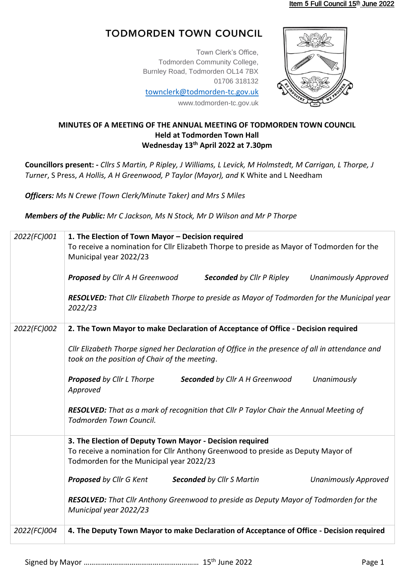## **TODMORDEN TOWN COUNCIL**

Town Clerk's Office, Todmorden Community College, Burnley Road, Todmorden OL14 7BX 01706 318132

[townclerk@todmorden-tc.gov.uk](mailto:townclerk@todmorden-tc.gov.uk)

www.todmorden-tc.gov.uk



## **MINUTES OF A MEETING OF THE ANNUAL MEETING OF TODMORDEN TOWN COUNCIL Held at Todmorden Town Hall Wednesday 13th April 2022 at 7.30pm**

**Councillors present: -** *Cllrs S Martin, P Ripley, J Williams, L Levick, M Holmstedt, M Carrigan, L Thorpe, J Turner*, S Press, *A Hollis, A H Greenwood, P Taylor (Mayor), and* K White and L Needham

*Officers: Ms N Crewe (Town Clerk/Minute Taker) and Mrs S Miles*

*Members of the Public: Mr C Jackson, Ms N Stock, Mr D Wilson and Mr P Thorpe*

| 2022(FC)001 | 1. The Election of Town Mayor - Decision required<br>To receive a nomination for Cllr Elizabeth Thorpe to preside as Mayor of Todmorden for the<br>Municipal year 2022/23 |  |  |
|-------------|---------------------------------------------------------------------------------------------------------------------------------------------------------------------------|--|--|
|             | <b>Unanimously Approved</b><br><b>Proposed</b> by Cllr A H Greenwood<br><b>Seconded</b> by Cllr P Ripley                                                                  |  |  |
|             | <b>RESOLVED:</b> That Cllr Elizabeth Thorpe to preside as Mayor of Todmorden for the Municipal year<br>2022/23                                                            |  |  |
| 2022(FC)002 | 2. The Town Mayor to make Declaration of Acceptance of Office - Decision required                                                                                         |  |  |
|             | Cllr Elizabeth Thorpe signed her Declaration of Office in the presence of all in attendance and<br>took on the position of Chair of the meeting.                          |  |  |
|             | Unanimously<br><b>Proposed</b> by Cllr L Thorpe<br>Seconded by Cllr A H Greenwood<br>Approved                                                                             |  |  |
|             | <b>RESOLVED:</b> That as a mark of recognition that Cllr P Taylor Chair the Annual Meeting of<br>Todmorden Town Council.                                                  |  |  |
|             | 3. The Election of Deputy Town Mayor - Decision required                                                                                                                  |  |  |
|             | To receive a nomination for Cllr Anthony Greenwood to preside as Deputy Mayor of<br>Todmorden for the Municipal year 2022/23                                              |  |  |
|             | Proposed by Cllr G Kent<br><b>Seconded by Cllr S Martin</b><br><b>Unanimously Approved</b>                                                                                |  |  |
|             | <b>RESOLVED:</b> That Cllr Anthony Greenwood to preside as Deputy Mayor of Todmorden for the<br>Municipal year 2022/23                                                    |  |  |
| 2022(FC)004 | 4. The Deputy Town Mayor to make Declaration of Acceptance of Office - Decision required                                                                                  |  |  |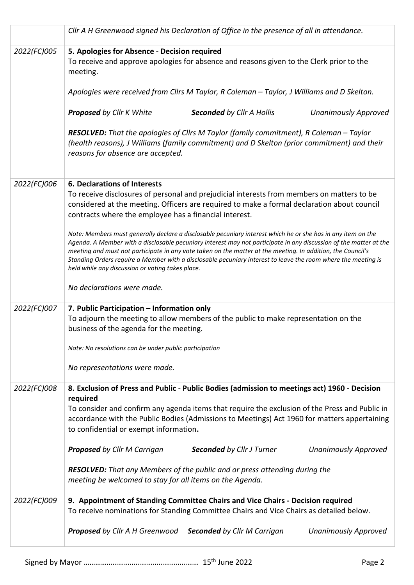|             | Cllr A H Greenwood signed his Declaration of Office in the presence of all in attendance.                                                                                                                                                                                                                                                                                                                                                                                                                             |
|-------------|-----------------------------------------------------------------------------------------------------------------------------------------------------------------------------------------------------------------------------------------------------------------------------------------------------------------------------------------------------------------------------------------------------------------------------------------------------------------------------------------------------------------------|
| 2022(FC)005 | 5. Apologies for Absence - Decision required<br>To receive and approve apologies for absence and reasons given to the Clerk prior to the<br>meeting.                                                                                                                                                                                                                                                                                                                                                                  |
|             | Apologies were received from Cllrs M Taylor, R Coleman - Taylor, J Williams and D Skelton.                                                                                                                                                                                                                                                                                                                                                                                                                            |
|             | <b>Proposed by Cllr K White</b><br><b>Seconded by Cllr A Hollis</b><br><b>Unanimously Approved</b>                                                                                                                                                                                                                                                                                                                                                                                                                    |
|             | <b>RESOLVED:</b> That the apologies of Cllrs M Taylor (family commitment), R Coleman - Taylor<br>(health reasons), J Williams (family commitment) and D Skelton (prior commitment) and their<br>reasons for absence are accepted.                                                                                                                                                                                                                                                                                     |
| 2022(FC)006 | 6. Declarations of Interests                                                                                                                                                                                                                                                                                                                                                                                                                                                                                          |
|             | To receive disclosures of personal and prejudicial interests from members on matters to be<br>considered at the meeting. Officers are required to make a formal declaration about council<br>contracts where the employee has a financial interest.                                                                                                                                                                                                                                                                   |
|             | Note: Members must generally declare a disclosable pecuniary interest which he or she has in any item on the<br>Agenda. A Member with a disclosable pecuniary interest may not participate in any discussion of the matter at the<br>meeting and must not participate in any vote taken on the matter at the meeting. In addition, the Council's<br>Standing Orders require a Member with a disclosable pecuniary interest to leave the room where the meeting is<br>held while any discussion or voting takes place. |
|             | No declarations were made.                                                                                                                                                                                                                                                                                                                                                                                                                                                                                            |
| 2022(FC)007 | 7. Public Participation - Information only<br>To adjourn the meeting to allow members of the public to make representation on the<br>business of the agenda for the meeting.                                                                                                                                                                                                                                                                                                                                          |
|             | Note: No resolutions can be under public participation                                                                                                                                                                                                                                                                                                                                                                                                                                                                |
|             | No representations were made.                                                                                                                                                                                                                                                                                                                                                                                                                                                                                         |
| 2022(FC)008 | 8. Exclusion of Press and Public - Public Bodies (admission to meetings act) 1960 - Decision<br>required                                                                                                                                                                                                                                                                                                                                                                                                              |
|             | To consider and confirm any agenda items that require the exclusion of the Press and Public in<br>accordance with the Public Bodies (Admissions to Meetings) Act 1960 for matters appertaining<br>to confidential or exempt information.                                                                                                                                                                                                                                                                              |
|             | <b>Proposed</b> by Cllr M Carrigan<br><b>Seconded by Cllr J Turner</b><br><b>Unanimously Approved</b>                                                                                                                                                                                                                                                                                                                                                                                                                 |
|             | <b>RESOLVED:</b> That any Members of the public and or press attending during the<br>meeting be welcomed to stay for all items on the Agenda.                                                                                                                                                                                                                                                                                                                                                                         |
| 2022(FC)009 | 9. Appointment of Standing Committee Chairs and Vice Chairs - Decision required<br>To receive nominations for Standing Committee Chairs and Vice Chairs as detailed below.                                                                                                                                                                                                                                                                                                                                            |
|             | <b>Proposed</b> by Cllr A H Greenwood<br><b>Seconded by Cllr M Carrigan</b><br><b>Unanimously Approved</b>                                                                                                                                                                                                                                                                                                                                                                                                            |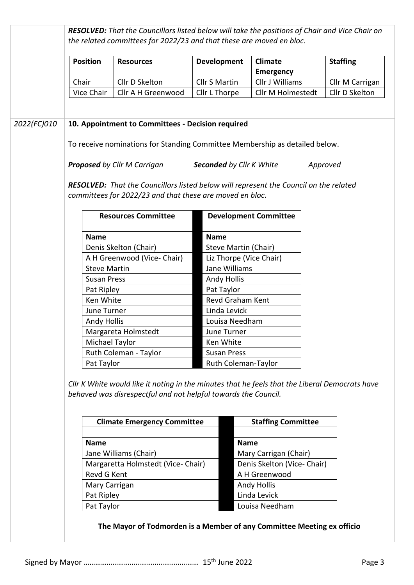|             | <b>Position</b>     | <b>Resources</b>                                                                                                                                                 | <b>Development</b>              | <b>Climate</b><br><b>Emergency</b> | <b>Staffing</b> |  |  |
|-------------|---------------------|------------------------------------------------------------------------------------------------------------------------------------------------------------------|---------------------------------|------------------------------------|-----------------|--|--|
|             | Chair               | Cllr D Skelton                                                                                                                                                   | <b>Cllr S Martin</b>            | Cllr J Williams                    | Cllr M Carrigan |  |  |
|             | Vice Chair          | Cllr A H Greenwood                                                                                                                                               | Cllr L Thorpe                   | Cllr M Holmestedt                  | Cllr D Skelton  |  |  |
| 2022(FC)010 |                     | 10. Appointment to Committees - Decision required                                                                                                                |                                 |                                    |                 |  |  |
|             |                     | To receive nominations for Standing Committee Membership as detailed below.                                                                                      |                                 |                                    |                 |  |  |
|             |                     | <b>Proposed</b> by Cllr M Carrigan                                                                                                                               | Seconded by Cllr K White        |                                    | Approved        |  |  |
|             |                     | <b>RESOLVED:</b> That the Councillors listed below will represent the Council on the related<br>committees for 2022/23 and that these are moved en bloc.         |                                 |                                    |                 |  |  |
|             |                     | <b>Resources Committee</b>                                                                                                                                       |                                 | <b>Development Committee</b>       |                 |  |  |
|             | <b>Name</b>         |                                                                                                                                                                  | <b>Name</b>                     |                                    |                 |  |  |
|             |                     | Denis Skelton (Chair)                                                                                                                                            | Steve Martin (Chair)            |                                    |                 |  |  |
|             |                     | A H Greenwood (Vice- Chair)                                                                                                                                      |                                 | Liz Thorpe (Vice Chair)            |                 |  |  |
|             | <b>Steve Martin</b> |                                                                                                                                                                  | Jane Williams                   |                                    |                 |  |  |
|             | <b>Susan Press</b>  |                                                                                                                                                                  | <b>Andy Hollis</b>              |                                    |                 |  |  |
|             | Pat Ripley          |                                                                                                                                                                  | Pat Taylor                      |                                    |                 |  |  |
|             | Ken White           |                                                                                                                                                                  | Revd Graham Kent                |                                    |                 |  |  |
|             | June Turner         |                                                                                                                                                                  | Linda Levick                    |                                    |                 |  |  |
|             | <b>Andy Hollis</b>  |                                                                                                                                                                  | Louisa Needham                  |                                    |                 |  |  |
|             |                     | Margareta Holmstedt                                                                                                                                              | June Turner                     |                                    |                 |  |  |
|             | Michael Taylor      |                                                                                                                                                                  | Ken White<br><b>Susan Press</b> |                                    |                 |  |  |
|             |                     | Ruth Coleman - Taylor                                                                                                                                            |                                 |                                    |                 |  |  |
|             | Pat Taylor          |                                                                                                                                                                  |                                 | Ruth Coleman-Taylor                |                 |  |  |
|             |                     | Cllr K White would like it noting in the minutes that he feels that the Liberal Democrats have<br>behaved was disrespectful and not helpful towards the Council. |                                 |                                    |                 |  |  |
|             |                     | <b>Climate Emergency Committee</b>                                                                                                                               |                                 | <b>Staffing Committee</b>          |                 |  |  |
|             | <b>Name</b>         |                                                                                                                                                                  |                                 | <b>Name</b>                        |                 |  |  |
|             |                     | Jane Williams (Chair)                                                                                                                                            |                                 | Mary Carrigan (Chair)              |                 |  |  |
|             |                     | Margaretta Holmstedt (Vice- Chair)                                                                                                                               |                                 | Denis Skelton (Vice- Chair)        |                 |  |  |
|             | Revd G Kent         |                                                                                                                                                                  |                                 | A H Greenwood                      |                 |  |  |
|             | Mary Carrigan       |                                                                                                                                                                  |                                 | <b>Andy Hollis</b>                 |                 |  |  |
|             | Pat Ripley          |                                                                                                                                                                  |                                 | Linda Levick                       |                 |  |  |
|             | Pat Taylor          |                                                                                                                                                                  |                                 | Louisa Needham                     |                 |  |  |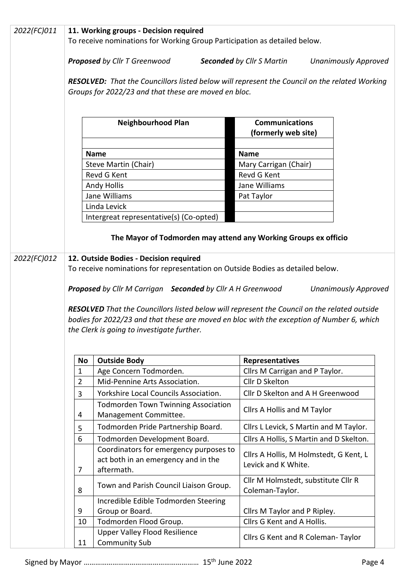| 2022(FC)011 | 11. Working groups - Decision required                                                                                   |                                                                                                      |                                                                 |  |
|-------------|--------------------------------------------------------------------------------------------------------------------------|------------------------------------------------------------------------------------------------------|-----------------------------------------------------------------|--|
|             | To receive nominations for Working Group Participation as detailed below.                                                |                                                                                                      |                                                                 |  |
|             |                                                                                                                          | <b>Proposed</b> by Cllr T Greenwood                                                                  | <b>Seconded by Cllr S Martin</b><br><b>Unanimously Approved</b> |  |
|             |                                                                                                                          | <b>RESOLVED:</b> That the Councillors listed below will represent the Council on the related Working |                                                                 |  |
|             |                                                                                                                          | Groups for 2022/23 and that these are moved en bloc.                                                 |                                                                 |  |
|             |                                                                                                                          |                                                                                                      |                                                                 |  |
|             |                                                                                                                          |                                                                                                      |                                                                 |  |
|             |                                                                                                                          | <b>Neighbourhood Plan</b>                                                                            | <b>Communications</b><br>(formerly web site)                    |  |
|             |                                                                                                                          |                                                                                                      |                                                                 |  |
|             |                                                                                                                          | <b>Name</b><br>Steve Martin (Chair)                                                                  | <b>Name</b>                                                     |  |
|             |                                                                                                                          | Revd G Kent                                                                                          | Mary Carrigan (Chair)<br>Revd G Kent                            |  |
|             |                                                                                                                          | <b>Andy Hollis</b>                                                                                   | Jane Williams                                                   |  |
|             |                                                                                                                          | Jane Williams                                                                                        | Pat Taylor                                                      |  |
|             |                                                                                                                          | Linda Levick                                                                                         |                                                                 |  |
|             |                                                                                                                          | Intergreat representative(s) (Co-opted)                                                              |                                                                 |  |
|             |                                                                                                                          |                                                                                                      |                                                                 |  |
|             |                                                                                                                          | The Mayor of Todmorden may attend any Working Groups ex officio                                      |                                                                 |  |
| 2022(FC)012 | 12. Outside Bodies - Decision required<br>To receive nominations for representation on Outside Bodies as detailed below. |                                                                                                      |                                                                 |  |
|             |                                                                                                                          |                                                                                                      |                                                                 |  |
|             | <b>Proposed</b> by Cllr M Carrigan Seconded by Cllr A H Greenwood<br><b>Unanimously Approved</b>                         |                                                                                                      |                                                                 |  |
|             |                                                                                                                          |                                                                                                      |                                                                 |  |
|             |                                                                                                                          | RESOLVED That the Councillors listed below will represent the Council on the related outside         |                                                                 |  |
|             |                                                                                                                          | bodies for 2022/23 and that these are moved en bloc with the exception of Number 6, which            |                                                                 |  |
|             | the Clerk is going to investigate further.                                                                               |                                                                                                      |                                                                 |  |
|             |                                                                                                                          |                                                                                                      |                                                                 |  |
|             | No                                                                                                                       | <b>Outside Body</b>                                                                                  | Representatives                                                 |  |
|             | $\mathbf 1$                                                                                                              | Age Concern Todmorden.                                                                               | Cllrs M Carrigan and P Taylor.                                  |  |
|             | $\overline{2}$                                                                                                           | Mid-Pennine Arts Association.                                                                        | Cllr D Skelton                                                  |  |
|             | 3                                                                                                                        | Yorkshire Local Councils Association.                                                                | Cllr D Skelton and A H Greenwood                                |  |
|             | 4                                                                                                                        | <b>Todmorden Town Twinning Association</b><br>Management Committee.                                  | Cllrs A Hollis and M Taylor                                     |  |
|             | 5                                                                                                                        | Todmorden Pride Partnership Board.                                                                   | Cllrs L Levick, S Martin and M Taylor.                          |  |
|             | 6                                                                                                                        | Todmorden Development Board.                                                                         | Cllrs A Hollis, S Martin and D Skelton.                         |  |
|             |                                                                                                                          | Coordinators for emergency purposes to                                                               |                                                                 |  |
|             |                                                                                                                          | act both in an emergency and in the                                                                  | Cllrs A Hollis, M Holmstedt, G Kent, L                          |  |
|             | 7                                                                                                                        | aftermath.                                                                                           | Levick and K White.                                             |  |
|             | 8                                                                                                                        | Town and Parish Council Liaison Group.                                                               | Cllr M Holmstedt, substitute Cllr R<br>Coleman-Taylor.          |  |
|             |                                                                                                                          | Incredible Edible Todmorden Steering                                                                 |                                                                 |  |
|             | 9                                                                                                                        | Group or Board.                                                                                      | Cllrs M Taylor and P Ripley.                                    |  |
|             | 10                                                                                                                       | Todmorden Flood Group.                                                                               | Cllrs G Kent and A Hollis.                                      |  |
|             |                                                                                                                          | <b>Upper Valley Flood Resilience</b>                                                                 | Cllrs G Kent and R Coleman-Taylor                               |  |
|             | 11                                                                                                                       | <b>Community Sub</b>                                                                                 |                                                                 |  |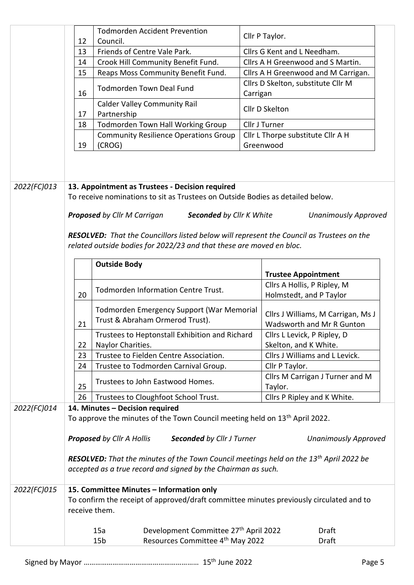|             |                                     | <b>Todmorden Accident Prevention</b>                                                                                                                                                                                                                                                                                                                                            | Cllr P Taylor.                                                                             |
|-------------|-------------------------------------|---------------------------------------------------------------------------------------------------------------------------------------------------------------------------------------------------------------------------------------------------------------------------------------------------------------------------------------------------------------------------------|--------------------------------------------------------------------------------------------|
|             | 12                                  | Council.                                                                                                                                                                                                                                                                                                                                                                        |                                                                                            |
|             | Friends of Centre Vale Park.<br>13  |                                                                                                                                                                                                                                                                                                                                                                                 | Cllrs G Kent and L Needham.                                                                |
|             | 14                                  | Crook Hill Community Benefit Fund.                                                                                                                                                                                                                                                                                                                                              | Cllrs A H Greenwood and S Martin.                                                          |
|             | 15                                  | Reaps Moss Community Benefit Fund.                                                                                                                                                                                                                                                                                                                                              | Cllrs A H Greenwood and M Carrigan.                                                        |
|             | 16                                  | <b>Todmorden Town Deal Fund</b>                                                                                                                                                                                                                                                                                                                                                 | Cllrs D Skelton, substitute Cllr M<br>Carrigan                                             |
|             | <b>Calder Valley Community Rail</b> |                                                                                                                                                                                                                                                                                                                                                                                 | Cllr D Skelton                                                                             |
|             | 17                                  | Partnership                                                                                                                                                                                                                                                                                                                                                                     |                                                                                            |
|             | 18                                  | Todmorden Town Hall Working Group                                                                                                                                                                                                                                                                                                                                               | Cllr J Turner                                                                              |
|             |                                     | <b>Community Resilience Operations Group</b>                                                                                                                                                                                                                                                                                                                                    | Cllr L Thorpe substitute Cllr A H                                                          |
|             | 19                                  | (CROG)                                                                                                                                                                                                                                                                                                                                                                          | Greenwood                                                                                  |
| 2022(FC)013 |                                     | 13. Appointment as Trustees - Decision required<br>To receive nominations to sit as Trustees on Outside Bodies as detailed below.<br><b>Proposed</b> by Cllr M Carrigan<br><b>Seconded by Cllr K White</b><br>RESOLVED: That the Councillors listed below will represent the Council as Trustees on the<br>related outside bodies for 2022/23 and that these are moved en bloc. | <b>Unanimously Approved</b>                                                                |
|             |                                     |                                                                                                                                                                                                                                                                                                                                                                                 |                                                                                            |
|             |                                     | <b>Outside Body</b>                                                                                                                                                                                                                                                                                                                                                             | <b>Trustee Appointment</b>                                                                 |
|             |                                     |                                                                                                                                                                                                                                                                                                                                                                                 | Cllrs A Hollis, P Ripley, M                                                                |
|             |                                     |                                                                                                                                                                                                                                                                                                                                                                                 |                                                                                            |
|             | 20                                  | Todmorden Information Centre Trust.                                                                                                                                                                                                                                                                                                                                             |                                                                                            |
|             | 21                                  | Todmorden Emergency Support (War Memorial<br>Trust & Abraham Ormerod Trust).                                                                                                                                                                                                                                                                                                    | Holmstedt, and P Taylor<br>Cllrs J Williams, M Carrigan, Ms J<br>Wadsworth and Mr R Gunton |
|             |                                     | Trustees to Heptonstall Exhibition and Richard                                                                                                                                                                                                                                                                                                                                  | Cllrs L Levick, P Ripley, D                                                                |
|             | 22                                  | Naylor Charities.                                                                                                                                                                                                                                                                                                                                                               | Skelton, and K White.                                                                      |
|             | 23                                  | Trustee to Fielden Centre Association.                                                                                                                                                                                                                                                                                                                                          | Cllrs J Williams and L Levick.                                                             |
|             | 24                                  | Trustee to Todmorden Carnival Group.                                                                                                                                                                                                                                                                                                                                            | Cllr P Taylor.                                                                             |
|             | 25                                  | Trustees to John Eastwood Homes.                                                                                                                                                                                                                                                                                                                                                | Cllrs M Carrigan J Turner and M<br>Taylor.                                                 |
|             | 26                                  | Trustees to Cloughfoot School Trust.                                                                                                                                                                                                                                                                                                                                            | Cllrs P Ripley and K White.                                                                |
| 2022(FC)014 |                                     | 14. Minutes - Decision required                                                                                                                                                                                                                                                                                                                                                 |                                                                                            |
|             |                                     | To approve the minutes of the Town Council meeting held on 13 <sup>th</sup> April 2022.                                                                                                                                                                                                                                                                                         |                                                                                            |
|             |                                     |                                                                                                                                                                                                                                                                                                                                                                                 |                                                                                            |
|             |                                     | <b>Proposed by Cllr A Hollis</b><br><b>Seconded by Cllr J Turner</b>                                                                                                                                                                                                                                                                                                            | <b>Unanimously Approved</b>                                                                |
|             |                                     |                                                                                                                                                                                                                                                                                                                                                                                 |                                                                                            |
|             |                                     | <b>RESOLVED:</b> That the minutes of the Town Council meetings held on the 13 <sup>th</sup> April 2022 be                                                                                                                                                                                                                                                                       |                                                                                            |
|             |                                     | accepted as a true record and signed by the Chairman as such.                                                                                                                                                                                                                                                                                                                   |                                                                                            |
| 2022(FC)015 | receive them.                       | 15. Committee Minutes - Information only<br>To confirm the receipt of approved/draft committee minutes previously circulated and to                                                                                                                                                                                                                                             |                                                                                            |
|             |                                     | 15a                                                                                                                                                                                                                                                                                                                                                                             | Draft                                                                                      |
|             |                                     | Development Committee 27th April 2022<br>Resources Committee 4th May 2022<br>15 <sub>b</sub>                                                                                                                                                                                                                                                                                    | Draft                                                                                      |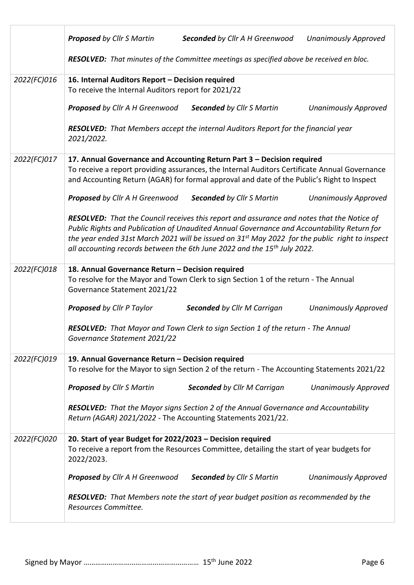|             | <b>Proposed</b> by Cllr S Martin<br>Seconded by Cllr A H Greenwood<br><b>Unanimously Approved</b>                                                                                                                                                                                                                                                                                    |
|-------------|--------------------------------------------------------------------------------------------------------------------------------------------------------------------------------------------------------------------------------------------------------------------------------------------------------------------------------------------------------------------------------------|
|             | RESOLVED: That minutes of the Committee meetings as specified above be received en bloc.                                                                                                                                                                                                                                                                                             |
| 2022(FC)016 | 16. Internal Auditors Report - Decision required<br>To receive the Internal Auditors report for 2021/22                                                                                                                                                                                                                                                                              |
|             | <b>Seconded by Cllr S Martin</b><br>Proposed by Cllr A H Greenwood<br><b>Unanimously Approved</b>                                                                                                                                                                                                                                                                                    |
|             | <b>RESOLVED:</b> That Members accept the internal Auditors Report for the financial year<br>2021/2022.                                                                                                                                                                                                                                                                               |
| 2022(FC)017 | 17. Annual Governance and Accounting Return Part 3 - Decision required                                                                                                                                                                                                                                                                                                               |
|             | To receive a report providing assurances, the Internal Auditors Certificate Annual Governance<br>and Accounting Return (AGAR) for formal approval and date of the Public's Right to Inspect                                                                                                                                                                                          |
|             | <b>Proposed</b> by Cllr A H Greenwood<br><b>Seconded by Cllr S Martin</b><br><b>Unanimously Approved</b>                                                                                                                                                                                                                                                                             |
|             | RESOLVED: That the Council receives this report and assurance and notes that the Notice of<br>Public Rights and Publication of Unaudited Annual Governance and Accountability Return for<br>the year ended 31st March 2021 will be issued on $31st$ May 2022 for the public right to inspect<br>all accounting records between the 6th June 2022 and the 15 <sup>th</sup> July 2022. |
| 2022(FC)018 | 18. Annual Governance Return - Decision required                                                                                                                                                                                                                                                                                                                                     |
|             | To resolve for the Mayor and Town Clerk to sign Section 1 of the return - The Annual<br>Governance Statement 2021/22                                                                                                                                                                                                                                                                 |
|             | <b>Proposed</b> by Cllr P Taylor<br><b>Seconded by Cllr M Carrigan</b><br><b>Unanimously Approved</b>                                                                                                                                                                                                                                                                                |
|             | <b>RESOLVED:</b> That Mayor and Town Clerk to sign Section 1 of the return - The Annual<br>Governance Statement 2021/22                                                                                                                                                                                                                                                              |
| 2022(FC)019 | 19. Annual Governance Return - Decision required                                                                                                                                                                                                                                                                                                                                     |
|             | To resolve for the Mayor to sign Section 2 of the return - The Accounting Statements 2021/22                                                                                                                                                                                                                                                                                         |
|             | Proposed by Cllr S Martin<br><b>Seconded by Cllr M Carrigan</b><br><b>Unanimously Approved</b>                                                                                                                                                                                                                                                                                       |
|             | RESOLVED: That the Mayor signs Section 2 of the Annual Governance and Accountability<br>Return (AGAR) 2021/2022 - The Accounting Statements 2021/22.                                                                                                                                                                                                                                 |
| 2022(FC)020 | 20. Start of year Budget for 2022/2023 - Decision required<br>To receive a report from the Resources Committee, detailing the start of year budgets for<br>2022/2023.                                                                                                                                                                                                                |
|             | <b>Proposed</b> by Cllr A H Greenwood<br><b>Seconded by Cllr S Martin</b><br><b>Unanimously Approved</b>                                                                                                                                                                                                                                                                             |
|             | RESOLVED: That Members note the start of year budget position as recommended by the<br>Resources Committee.                                                                                                                                                                                                                                                                          |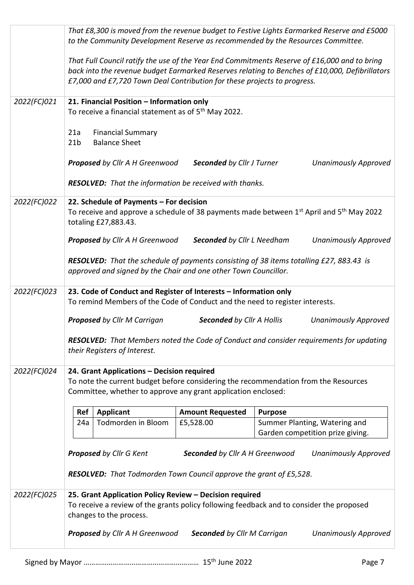|             | <b>Proposed</b> by Cllr M Carrigan                                                                                                                                                                                                                                                                                                                                                          |                                                                                                                         |                                                                                         |  |  |  |
|-------------|---------------------------------------------------------------------------------------------------------------------------------------------------------------------------------------------------------------------------------------------------------------------------------------------------------------------------------------------------------------------------------------------|-------------------------------------------------------------------------------------------------------------------------|-----------------------------------------------------------------------------------------|--|--|--|
|             |                                                                                                                                                                                                                                                                                                                                                                                             | RESOLVED: That Members noted the Code of Conduct and consider requirements for updating<br>their Registers of Interest. |                                                                                         |  |  |  |
| 2022(FC)023 | 23. Code of Conduct and Register of Interests - Information only<br>To remind Members of the Code of Conduct and the need to register interests.<br>Seconded by Cllr A Hollis<br><b>Unanimously Approved</b>                                                                                                                                                                                |                                                                                                                         |                                                                                         |  |  |  |
|             | approved and signed by the Chair and one other Town Councillor.                                                                                                                                                                                                                                                                                                                             |                                                                                                                         | RESOLVED: That the schedule of payments consisting of 38 items totalling £27, 883.43 is |  |  |  |
|             | <b>Proposed</b> by Cllr A H Greenwood                                                                                                                                                                                                                                                                                                                                                       | <b>Seconded by Cllr L Needham</b>                                                                                       | <b>Unanimously Approved</b>                                                             |  |  |  |
|             | To receive and approve a schedule of 38 payments made between 1 <sup>st</sup> April and 5 <sup>th</sup> May 2022<br>totaling £27,883.43.                                                                                                                                                                                                                                                    |                                                                                                                         |                                                                                         |  |  |  |
| 2022(FC)022 | <b>RESOLVED:</b> That the information be received with thanks.<br>22. Schedule of Payments - For decision                                                                                                                                                                                                                                                                                   |                                                                                                                         |                                                                                         |  |  |  |
|             | Proposed by Cllr A H Greenwood                                                                                                                                                                                                                                                                                                                                                              | <b>Seconded by Cllr J Turner</b>                                                                                        | <b>Unanimously Approved</b>                                                             |  |  |  |
|             | 21a<br><b>Financial Summary</b><br><b>Balance Sheet</b><br>21 <sub>b</sub>                                                                                                                                                                                                                                                                                                                  |                                                                                                                         |                                                                                         |  |  |  |
| 2022(FC)021 | That Full Council ratify the use of the Year End Commitments Reserve of £16,000 and to bring<br>back into the revenue budget Earmarked Reserves relating to Benches of £10,000, Defibrillators<br>£7,000 and £7,720 Town Deal Contribution for these projects to progress.<br>21. Financial Position - Information only<br>To receive a financial statement as of 5 <sup>th</sup> May 2022. |                                                                                                                         |                                                                                         |  |  |  |
|             |                                                                                                                                                                                                                                                                                                                                                                                             |                                                                                                                         |                                                                                         |  |  |  |
|             | That £8,300 is moved from the revenue budget to Festive Lights Earmarked Reserve and £5000<br>to the Community Development Reserve as recommended by the Resources Committee.                                                                                                                                                                                                               |                                                                                                                         |                                                                                         |  |  |  |